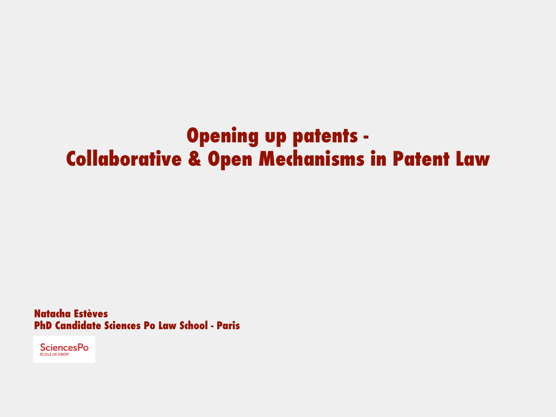## **Opening up patents - Collaborative & Open Mechanisms in Patent Law**

**Natacha Estèves PhD Candidate Sciences Po Law School - Paris**

**SciencesPo** ÉCOLE DE DROIT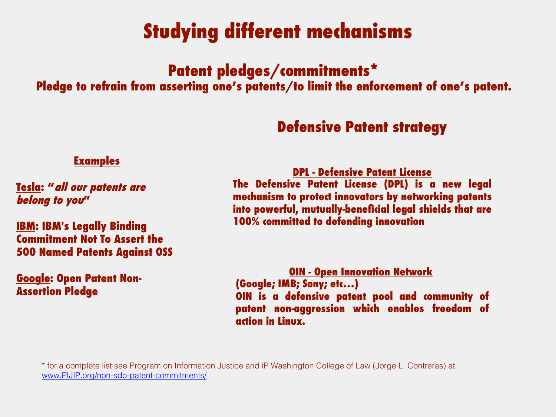# **Studying different mechanisms**

## **Patent pledges/commitments\***

**Pledge to refrain from asserting one's patents/to limit the enforcement of one's patent.**

### **Defensive Patent strategy**

#### **Examples**

**Tesla: "all our patents are belong to you"** 

**IBM: IBM's Legally Binding Commitment Not To Assert the 500 Named Patents Against OSS** 

#### **Google: Open Patent Non-Assertion Pledge**

**DPL - Defensive Patent License**

**The Defensive Patent License (DPL) is a new legal mechanism to protect innovators by networking patents into powerful, mutually-beneficial legal shields that are 100% committed to defending innovation**

**OIN - Open Innovation Network (Google; IMB; Sony; etc…) OIN is a defensive patent pool and community of patent non-aggression which enables freedom of action in Linux.** 

\* for a complete list see Program on Information Justice and iP Washington College of Law (Jorge L. Contreras) at www.PIJIP.org/non-sdo-patent-commitments/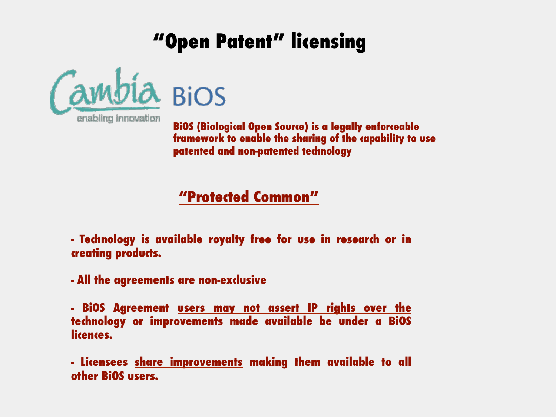# **"Open Patent" licensing**



**BiOS (Biological Open Source) is a legally enforceable framework to enable the sharing of the capability to use patented and non-patented technology**

### **"Protected Common"**

**- Technology is available royalty free for use in research or in creating products.** 

**- All the agreements are non-exclusive**

**- BiOS Agreement users may not assert IP rights over the technology or improvements made available be under a BiOS licences.** 

**- Licensees share improvements making them available to all other BiOS users.**